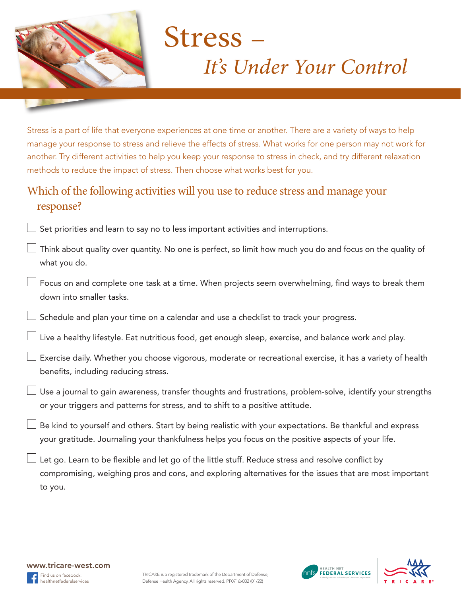

# **Stress** *It's Under Your Control*

Stress is a part of life that everyone experiences at one time or another. There are a variety of ways to help manage your response to stress and relieve the effects of stress. What works for one person may not work for another. Try different activities to help you keep your response to stress in check, and try different relaxation methods to reduce the impact of stress. Then choose what works best for you.

## Which of the following activities will you use to reduce stress and manage your response?

 $\Box$  Set priorities and learn to say no to less important activities and interruptions.

|              | $\Box$ Think about quality over quantity. No one is perfect, so limit how much you do and focus on the quality of |  |
|--------------|-------------------------------------------------------------------------------------------------------------------|--|
| what you do. |                                                                                                                   |  |

Focus on and complete one task at a time. When projects seem overwhelming, find ways to break them down into smaller tasks.

 $\perp$  Schedule and plan your time on a calendar and use a checklist to track your progress.

 $\Box$  Live a healthy lifestyle. Eat nutritious food, get enough sleep, exercise, and balance work and play.

 $\Box$  Exercise daily. Whether you choose vigorous, moderate or recreational exercise, it has a variety of health benefits, including reducing stress. 

- $\Box$  Use a journal to gain awareness, transfer thoughts and frustrations, problem-solve, identify your strengths or your triggers and patterns for stress, and to shift to a positive attitude.
- $\perp$  Be kind to yourself and others. Start by being realistic with your expectations. Be thankful and express your gratitude. Journaling your thankfulness helps you focus on the positive aspects of your life.

Let go. Learn to be flexible and let go of the little stuff. Reduce stress and resolve conflict by compromising, weighing pros and cons, and exploring alternatives for the issues that are most important to you.